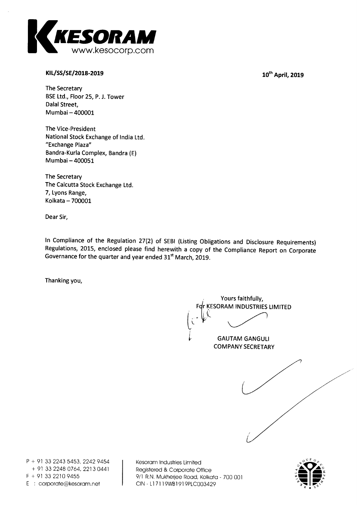

# **MUSS/SE/2018-2019**

10<sup>th</sup> April, 2019

**The Secretary BSE Ltd., Floor 25, P. J. Tower Dalai Street, Mumbai — 400001** 

**The Vice-President National Stock Exchange of India Ltd. "Exchange Plaza" Bandra-Kurla Complex, Bandra (E) Mumbai — 400051** 

**The Secretary The Calcutta Stock Exchange Ltd. 7, Lyons Range, Kolkata — 700001** 

**Dear Sir,** 

**In Compliance of the Regulation 27(2) of SEBI (Listing Obligations and Disclosure Requirements) Regulations, 2015, enclosed please find herewith a copy of the Compliance Report on Corporate**  Governance for the quarter and year ended 31<sup>st</sup> March, 2019.

**Thanking you,** 

**Yours faithfully, r KESORAM INDUSTRIES LIMITED** 



**P + 91 33 2243 5453, 2242 9454 + 91 33 2248 0764, 2213 0441 F + 91 33 2210 9455 E corporate@kesoram.net** 

**Kesoram Industries Limited Registered & Corporate Office 9/1 R.N. Mukherjee Road, Kolkata - 700 001 CIN - L17119WB1919PLC003429** 

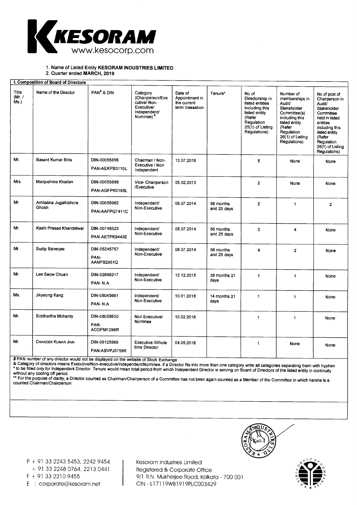

## 1. Name of Listed Entity **KESORAM INDUSTRIES LIMITED**

2. Quarter ended **MARCH, 2019** 

| I. Composition of Board of Directors |                                |                                    |                                                                                                    |                                                             |                          |                                                                                                                                              |                                                                                                                                                                     |                                                                                                                                                                                                      |
|--------------------------------------|--------------------------------|------------------------------------|----------------------------------------------------------------------------------------------------|-------------------------------------------------------------|--------------------------|----------------------------------------------------------------------------------------------------------------------------------------------|---------------------------------------------------------------------------------------------------------------------------------------------------------------------|------------------------------------------------------------------------------------------------------------------------------------------------------------------------------------------------------|
| <b>Title</b><br>(Mr. /<br>$Ms.$ )    | Name of the Director           | PAN <sup>\$</sup> & DIN            | Category<br>(Chairperson/Exe<br>cutive/Non-<br>Executive/<br>Independent/<br>Nominee) <sup>8</sup> | Date of<br>Appointment in<br>the current<br>term /cessation | Tenure*                  | No of<br>Directorship in<br>listed entities<br>including this<br>listed entity<br>(Refer<br>Regulation<br>$25(1)$ of Listing<br>Regulations) | Number of<br>memberships in<br>Audit/<br>Stakeholder<br>Committee(s)<br>including this<br>listed entity<br>(Refer<br>Regulation<br>26(1) of Listing<br>Regulations) | No of post of<br>Chairperson in<br>Audit/<br>Stakeholder<br>Committee<br>held in listed<br>entities<br>including this<br>listed entity<br>(Refer<br>Regulation<br>$26(1)$ of Listing<br>Regulations) |
| Mr.                                  | Basant Kumar Birla             | DIN-00055856<br>PAN-AEKPB3110L     | Chairman / Non-<br>Executive / Non<br>Independent                                                  | 13.07.2018                                                  |                          | 5                                                                                                                                            | None                                                                                                                                                                | None                                                                                                                                                                                                 |
| Mrs.                                 | Manjushree Khaitan             | DIN-00055898<br>PAN-AGFPK0198L     | Vice- Chairperson<br>/Executive                                                                    | 05.02.2013                                                  |                          | $\overline{2}$                                                                                                                               | None                                                                                                                                                                | None                                                                                                                                                                                                 |
| Mr.                                  | Amitabha Jugalkishore<br>Ghosh | DIN-00055962<br>PAN-AAFPG7411C     | Independent/<br>Non-Executive                                                                      | 08.07.2014                                                  | 56 months<br>and 25 days | $\overline{2}$                                                                                                                               | $\mathbf{1}$                                                                                                                                                        | $\overline{2}$                                                                                                                                                                                       |
| Mr.                                  | Kashi Prasad Khandelwal        | DIN-00748523<br>PAN-AETPK9443E     | Independent/<br>Non-Executive                                                                      | 08.07.2014                                                  | 56 months<br>and 25 days | 3                                                                                                                                            | 4                                                                                                                                                                   | None                                                                                                                                                                                                 |
| Mr.                                  | Sudip Banerjee                 | DIN-05245757<br>PAN-<br>AANPB2951Q | Independent/<br>Non-Executive                                                                      | 08.07.2014                                                  | 56 months<br>and 25 days | 4                                                                                                                                            | $\overline{2}$                                                                                                                                                      | None                                                                                                                                                                                                 |
| Mr.                                  | Lee Seow Chuan                 | DIN-02696217<br>PAN-N.A.           | Independent/<br>Non-Executive                                                                      | 12.12.2015                                                  | 39 months 21<br>days     | $\mathbf{1}$                                                                                                                                 | $\mathbf{1}$                                                                                                                                                        | None                                                                                                                                                                                                 |
| Ms.                                  | Jikyeong Kang                  | DIN-08045661<br>PAN-N.A.           | Independent/<br>Non-Executive                                                                      | 10.01.2018                                                  | 14 months 21<br>days     | $\mathbf{1}$                                                                                                                                 | $\blacksquare$                                                                                                                                                      | None                                                                                                                                                                                                 |
| Mr.                                  | Siddhartha Mohanty             | DIN-08058830<br>PAN-<br>ACOPM1296R | Non Executive/<br>Nominee                                                                          | 10.02.2018                                                  |                          | $\mathbf{1}$                                                                                                                                 | $\mathbf{1}$                                                                                                                                                        | None                                                                                                                                                                                                 |
| Mr.                                  | CHANDER KUMAR JAIN             | DIN-08125968<br>PAN-ABVPJ5759K     | <b>Executive /Whole</b><br>time Director                                                           | 04.05.2018                                                  |                          | $\mathbf{1}$                                                                                                                                 | None                                                                                                                                                                | None                                                                                                                                                                                                 |

\$ PAN number of any director would not be displayed on the website of Stock Exchange

& Category of directors means Executive/Non-executive/Independent/Nominee. if a Director fits into more than one category write all categories separating them with hyphen to be filled only for Independent Director. Tenure would mean total period from which Independent Director is serving on Board of Directors of the listed entity in continuity without any cooling off period.

" For the purpose of clarity, a Director counted as Chairman/Chairperson of a Committee has not been again counted as a Member of the Committee in which he/she is<br>counted Chairman/Chairperson.



P + 91 33 2243 5453, 2242 9454

+ 91 33 2248 0764, 2213 0441

F + 91 33 2210 9455

E : corporate@kesoram.net

Kesoram Industries Limited Registered & Corporate Office 9/1 R.N. Mukherjee Road, Kolkata - 700 001 CIN - L17119WB1919PLC003429

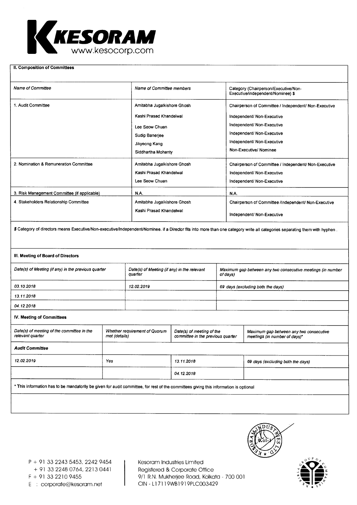

#### **II. Composition of Committees**

| <b>Name of Committee</b>                     | Name of Committee members   | Category (Chairperson/Executive/Non-<br>Executive/independent/Nominee) \$ |
|----------------------------------------------|-----------------------------|---------------------------------------------------------------------------|
| 1. Audit Committee                           | Amitabha Jugalkishore Ghosh | Chairperson of Committee / Independent/ Non-Executive                     |
|                                              | Kashi Prasad Khandelwal     | Independent/ Non-Executive                                                |
|                                              | Lee Seow Chuan              | Independent/ Non-Executive                                                |
|                                              | Sudip Banerjee              | Independent/ Non-Executive                                                |
|                                              | Jikyeong Kang               | Independent/ Non-Executive                                                |
|                                              | Siddhartha Mohanty          | Non-Executive/Nominee                                                     |
| 2. Nomination & Remuneration Committee       | Amitabha Jugalkishore Ghosh | Chairperson of Committee / Independent/ Non-Executive                     |
|                                              | Kashi Prasad Khandelwal     | Independent/ Non-Executive                                                |
|                                              | Lee Seow Chuan              | Independent/ Non-Executive                                                |
| 3. Risk Management Committee (if applicable) | NA.                         | N.A.                                                                      |
| 4. Stakeholders Relationship Committee       | Amitabha Jugalkishore Ghosh | Chairperson of Committee /Independent/ Non-Executive                      |
|                                              | Kashi Prasad Khandelwal     | Independent/ Non-Executive                                                |

\$ Category of directors means Executive/Non-executive/Independent/Nominee. if a Director fits into more than one category write all categories separating them with hyphen .

#### **III. Meeting of Board of Directors**

| Date(s) of Meeting (if any) in the previous quarter | Date(s) of Meeting (if any) in the relevant<br>quarter | Maximum gap between any two consecutive meetings (in number<br>of days) |
|-----------------------------------------------------|--------------------------------------------------------|-------------------------------------------------------------------------|
| 03.10.2018                                          | 12.02.2019                                             | 69 days (excluding both the days)                                       |
| 13.11.2018                                          |                                                        |                                                                         |
| 04.12.2018                                          |                                                        |                                                                         |

#### **IV. Meeting of Committees**

| met (details) | Date(s) of meeting of the<br>committee in the previous quarter | Maximum gap between any two consecutive<br>meetings (in number of days)* |  |
|---------------|----------------------------------------------------------------|--------------------------------------------------------------------------|--|
|               |                                                                |                                                                          |  |
| Yes           | 13.11.2018                                                     | 69 days (excluding both the days)                                        |  |
|               | 04.12.2018                                                     |                                                                          |  |
|               |                                                                |                                                                          |  |

This information has to be mandatorily be given for audit committee, for rest of the committees giving this information is optional



Kesoram Industries Limited Registered & Corporate Office F + 91 33 2210 9455 9/1 R.N. Mukherjee Road, Kolkata - 700 001



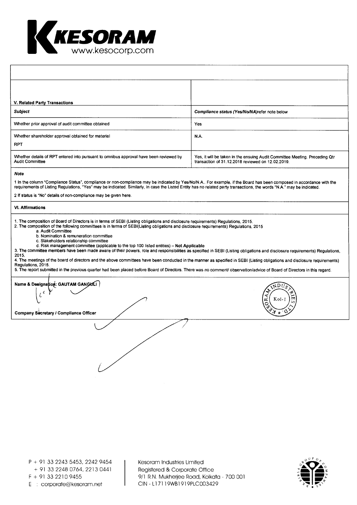

| V. Related Party Transactions                                                                                                                                                                                                                                                                                                                                                                                                                                                                                                                                                                                                                                                                                                                                                                                                                                                                                                                                                                                                                                |                                                                                                                                  |  |  |  |
|--------------------------------------------------------------------------------------------------------------------------------------------------------------------------------------------------------------------------------------------------------------------------------------------------------------------------------------------------------------------------------------------------------------------------------------------------------------------------------------------------------------------------------------------------------------------------------------------------------------------------------------------------------------------------------------------------------------------------------------------------------------------------------------------------------------------------------------------------------------------------------------------------------------------------------------------------------------------------------------------------------------------------------------------------------------|----------------------------------------------------------------------------------------------------------------------------------|--|--|--|
| <b>Subject</b>                                                                                                                                                                                                                                                                                                                                                                                                                                                                                                                                                                                                                                                                                                                                                                                                                                                                                                                                                                                                                                               | Compliance status (Yes/No/NA)refer note below                                                                                    |  |  |  |
| Whether prior approval of audit committee obtained                                                                                                                                                                                                                                                                                                                                                                                                                                                                                                                                                                                                                                                                                                                                                                                                                                                                                                                                                                                                           | Yes                                                                                                                              |  |  |  |
| Whether shareholder approval obtained for material<br><b>RPT</b>                                                                                                                                                                                                                                                                                                                                                                                                                                                                                                                                                                                                                                                                                                                                                                                                                                                                                                                                                                                             | N.A.                                                                                                                             |  |  |  |
| Whether details of RPT entered into pursuant to omnibus approval have been reviewed by<br><b>Audit Committee</b>                                                                                                                                                                                                                                                                                                                                                                                                                                                                                                                                                                                                                                                                                                                                                                                                                                                                                                                                             | Yes, it will be taken in the ensuing Audit Committee Meeting. Preceding Qtr<br>transaction of 31.12.2018 reviewed on 12.02.2019. |  |  |  |
| <b>Note</b><br>1 In the column "Compliance Status", compliance or non-compliance may be indicated by Yes/No/N.A For example, if the Board has been composed in accordance with the<br>requirements of Listing Regulations, "Yes" may be indicated. Similarly, in case the Listed Entity has no related party transactions, the words "N.A." may be indicated.<br>2 If status is "No" details of non-compliance may be given here.                                                                                                                                                                                                                                                                                                                                                                                                                                                                                                                                                                                                                            |                                                                                                                                  |  |  |  |
| <b>VI. Affirmations</b>                                                                                                                                                                                                                                                                                                                                                                                                                                                                                                                                                                                                                                                                                                                                                                                                                                                                                                                                                                                                                                      |                                                                                                                                  |  |  |  |
| 1. The composition of Board of Directors is in terms of SEBI (Listing obligations and disclosure requirements) Regulations, 2015.<br>2. The composition of the following committees is in terms of SEBI(Listing obligations and disclosure requirements) Regulations, 2015<br>a. Audit Committee<br>b. Nomination & remuneration committee<br>c. Stakeholders relationship committee<br>d. Risk management committee (applicable to the top 100 listed entities) - Not Applicable<br>3. The committee members have been made aware of their powers, role and responsibilities as specified in SEBI (Listing obligations and disclosure requirements) Regulations,<br>2015.<br>4. The meetings of the board of directors and the above committees have been conducted in the manner as specified in SEBI (Listing obligations and disclosure requirements)<br>Regulations, 2015.<br>5. The report submitted in the previous quarter had been placed before Board of Directors. There was no comment/ observation/advice of Board of Directors in this regard. |                                                                                                                                  |  |  |  |
| Name & Designation: GAUTAM GANGULI<br>.nr                                                                                                                                                                                                                                                                                                                                                                                                                                                                                                                                                                                                                                                                                                                                                                                                                                                                                                                                                                                                                    |                                                                                                                                  |  |  |  |
| Company Secretary / Compliance Officer                                                                                                                                                                                                                                                                                                                                                                                                                                                                                                                                                                                                                                                                                                                                                                                                                                                                                                                                                                                                                       |                                                                                                                                  |  |  |  |
|                                                                                                                                                                                                                                                                                                                                                                                                                                                                                                                                                                                                                                                                                                                                                                                                                                                                                                                                                                                                                                                              |                                                                                                                                  |  |  |  |

Kesoram Industries Limited Registered & Corporate Office 9/1 R.N. Mukherjee Road, Kolkata - 700 001 CIN - L171 19WB1919PLC003429

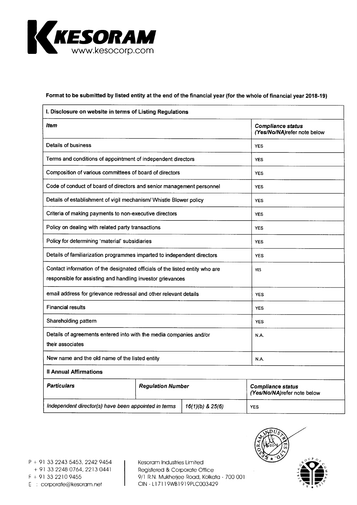

# **Format to be submitted by listed entity at the end of the financial year (for the whole of financial year 2018-19)**

| I. Disclosure on website in terms of Listing Regulations                                                                                   |                          |  |                                                         |
|--------------------------------------------------------------------------------------------------------------------------------------------|--------------------------|--|---------------------------------------------------------|
| Item                                                                                                                                       |                          |  | <b>Compliance status</b><br>(Yes/No/NA)refer note below |
| Details of business                                                                                                                        |                          |  | <b>YES</b>                                              |
| Terms and conditions of appointment of independent directors                                                                               |                          |  | <b>YES</b>                                              |
| Composition of various committees of board of directors                                                                                    |                          |  | <b>YES</b>                                              |
| Code of conduct of board of directors and senior management personnel                                                                      |                          |  | <b>YES</b>                                              |
| Details of establishment of vigil mechanism/ Whistle Blower policy                                                                         |                          |  | <b>YES</b>                                              |
| Criteria of making payments to non-executive directors                                                                                     |                          |  | <b>YES</b>                                              |
| Policy on dealing with related party transactions                                                                                          | <b>YES</b>               |  |                                                         |
| Policy for determining 'material' subsidiaries                                                                                             |                          |  | <b>YES</b>                                              |
| Details of familiarization programmes imparted to independent directors                                                                    |                          |  | <b>YES</b>                                              |
| Contact information of the designated officials of the listed entity who are<br>responsible for assisting and handling investor grievances |                          |  | <b>YES</b>                                              |
| email address for grievance redressal and other relevant details                                                                           |                          |  | <b>YES</b>                                              |
| <b>Financial results</b>                                                                                                                   |                          |  | <b>YES</b>                                              |
| Shareholding pattern                                                                                                                       | <b>YES</b>               |  |                                                         |
| Details of agreements entered into with the media companies and/or<br>their associates                                                     |                          |  | N.A.                                                    |
| New name and the old name of the listed entity                                                                                             |                          |  | N.A.                                                    |
| <b>Il Annual Affirmations</b>                                                                                                              |                          |  |                                                         |
| <b>Particulars</b>                                                                                                                         | <b>Regulation Number</b> |  | <b>Compliance status</b><br>(Yes/No/NA)refer note below |
| Independent director(s) have been appointed in terms<br>16(1)(b) & 25(6)                                                                   |                          |  | <b>YES</b>                                              |

Kesoram Industries Limited Registered & Corporate Office  $F + 913322109455$ <br>  $F + 913322109455$ <br>  $C/N - L17119WB1919PLC003429$ <br>  $F = 3.322109455$ 

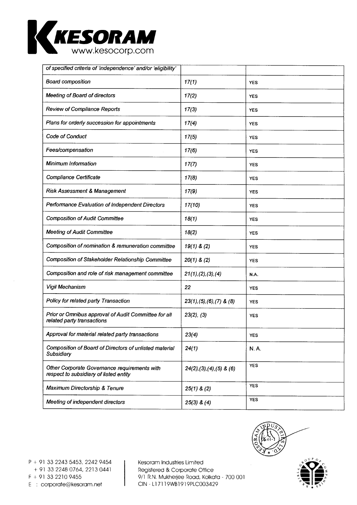

| of specified criteria of 'independence' and/or 'eligibility'                           |                                |             |
|----------------------------------------------------------------------------------------|--------------------------------|-------------|
| <b>Board composition</b>                                                               | 17(1)                          | <b>YES</b>  |
| <b>Meeting of Board of directors</b>                                                   | 17(2)                          | <b>YES</b>  |
| <b>Review of Compliance Reports</b>                                                    | 17(3)                          | <b>YES</b>  |
| Plans for orderly succession for appointments                                          | 17(4)                          | <b>YES</b>  |
| Code of Conduct                                                                        | 17(5)                          | <b>YES</b>  |
| Fees/compensation                                                                      | 17(6)                          | <b>YES</b>  |
| Minimum Information                                                                    | 17(7)                          | <b>YES</b>  |
| Compliance Certificate                                                                 | 17(8)                          | <b>YES</b>  |
| Risk Assessment & Management                                                           | 17(9)                          | <b>YES</b>  |
| Performance Evaluation of Independent Directors                                        | 17(10)                         | <b>YES</b>  |
| <b>Composition of Audit Committee</b>                                                  | 18(1)                          | <b>YES</b>  |
| <b>Meeting of Audit Committee</b>                                                      | 18(2)                          | <b>YES</b>  |
| Composition of nomination & remuneration committee                                     | $19(1)$ & (2)                  | <b>YES</b>  |
| Composition of Stakeholder Relationship Committee                                      | $20(1)$ & $(2)$                | <b>YES</b>  |
| Composition and role of risk management committee                                      | 21(1), (2), (3), (4)           | N.A.        |
| Vigil Mechanism                                                                        | 22                             | <b>YES</b>  |
| Policy for related party Transaction                                                   | $23(1), (5), (6), (7)$ & $(8)$ | <b>YES</b>  |
| Prior or Omnibus approval of Audit Committee for all<br>related party transactions     | $23(2)$ , $(3)$                | <b>YES</b>  |
| Approval for material related party transactions                                       | 23(4)                          | YES         |
| Composition of Board of Directors of unlisted material<br>Subsidiary                   | 24(1)                          | <b>N.A.</b> |
| Other Corporate Governance requirements with<br>respect to subsidiary of listed entity | $24(2), (3), (4), (5)$ & $(6)$ | <b>YES</b>  |
| Maximum Directorship & Tenure                                                          | $25(1)$ & (2)                  | <b>YES</b>  |
| Meeting of independent directors                                                       | $25(3)$ & $(4)$                | <b>YES</b>  |



P + 91 33 2243 5453, 2242 9454 + 91 33 2248 0764, 2213 0441

E : corporate@kesoram.net

Kesoram Industries Limited Registered & Corporate Office  $F + 913322109455$ <br>  $F + 913322109455$ <br>  $C/N - L17119WB1919PLC003429$ <br>  $F : \text{convorte@kesoram.net}$ <br>  $C/N - L17119WB1919PLC003429$